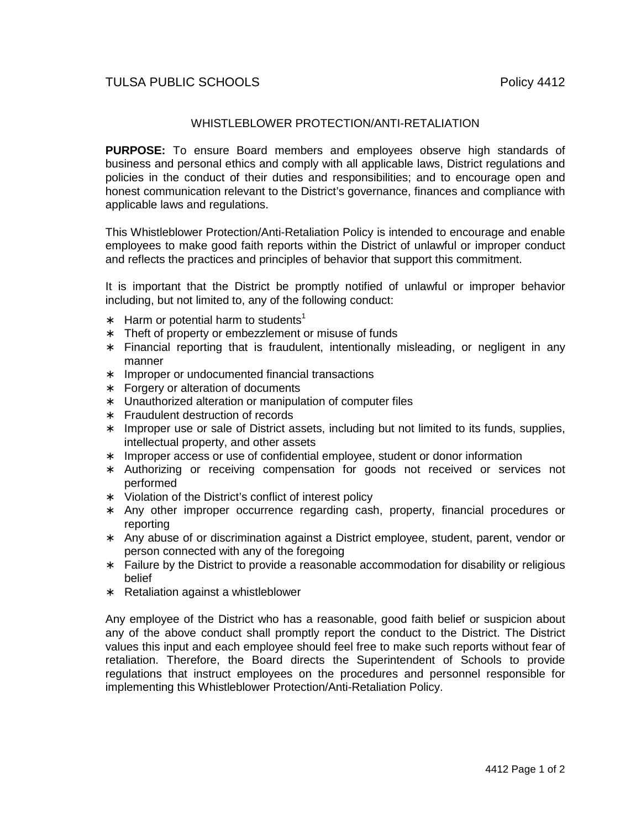## TULSA PUBLIC SCHOOLS **POLICY 1412**

## WHISTLEBLOWER PROTECTION/ANTI-RETALIATION

**PURPOSE:** To ensure Board members and employees observe high standards of business and personal ethics and comply with all applicable laws, District regulations and policies in the conduct of their duties and responsibilities; and to encourage open and honest communication relevant to the District's governance, finances and compliance with applicable laws and regulations.

This Whistleblower Protection/Anti-Retaliation Policy is intended to encourage and enable employees to make good faith reports within the District of unlawful or improper conduct and reflects the practices and principles of behavior that support this commitment.

It is important that the District be promptly notified of unlawful or improper behavior including, but not limited to, any of the following conduct:

- ∗ Harm or potential harm to students<sup>1</sup>
- ∗ Theft of property or embezzlement or misuse of funds
- ∗ Financial reporting that is fraudulent, intentionally misleading, or negligent in any manner
- ∗ Improper or undocumented financial transactions
- ∗ Forgery or alteration of documents
- ∗ Unauthorized alteration or manipulation of computer files
- ∗ Fraudulent destruction of records
- ∗ Improper use or sale of District assets, including but not limited to its funds, supplies, intellectual property, and other assets
- ∗ Improper access or use of confidential employee, student or donor information
- ∗ Authorizing or receiving compensation for goods not received or services not performed
- ∗ Violation of the District's conflict of interest policy
- ∗ Any other improper occurrence regarding cash, property, financial procedures or reporting
- ∗ Any abuse of or discrimination against a District employee, student, parent, vendor or person connected with any of the foregoing
- ∗ Failure by the District to provide a reasonable accommodation for disability or religious belief
- ∗ Retaliation against a whistleblower

Any employee of the District who has a reasonable, good faith belief or suspicion about any of the above conduct shall promptly report the conduct to the District. The District values this input and each employee should feel free to make such reports without fear of retaliation. Therefore, the Board directs the Superintendent of Schools to provide regulations that instruct employees on the procedures and personnel responsible for implementing this Whistleblower Protection/Anti-Retaliation Policy.